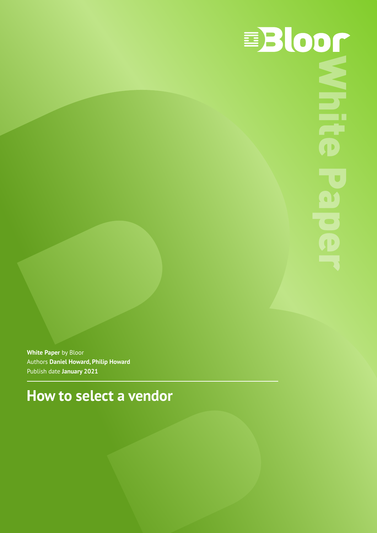# Bloor White Paper **T**  $\blacksquare$ **O**

**White Paper** by Bloor Authors **Daniel Howard, Philip Howard** Publish date **January 2021**

## **How to select a vendor**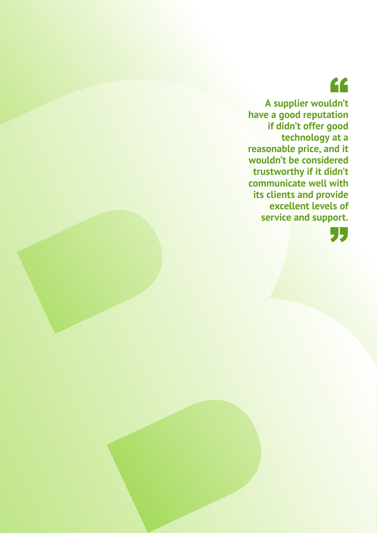## "

**A supplier wouldn't have a good reputation if didn't offer good technology at a reasonable price, and it wouldn't be considered trustworthy if it didn't communicate well with its clients and provide excellent levels of service and support.** 

"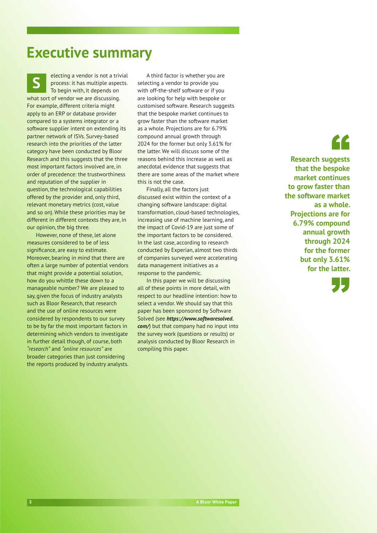## **Executive summary**

electing a vendor is not a trivial process: it has multiple aspects. To begin with, it depends on what sort of vendor we are discussing. For example, different criteria might apply to an ERP or database provider compared to a systems integrator or a software supplier intent on extending its partner network of ISVs. Survey-based research into the priorities of the latter category have been conducted by Bloor Research and this suggests that the three most important factors involved are, in order of precedence: the trustworthiness and reputation of the supplier in question, the technological capabilities offered by the provider and, only third, relevant monetary metrics (cost, value and so on). While these priorities may be different in different contexts they are, in our opinion, the big three. **S**

However, none of these, let alone measures considered to be of less significance, are easy to estimate. Moreover, bearing in mind that there are often a large number of potential vendors that might provide a potential solution, how do you whittle these down to a manageable number? We are pleased to say, given the focus of industry analysts such as Bloor Research, that research and the use of online resources were considered by respondents to our survey to be by far the most important factors in determining which vendors to investigate in further detail though, of course, both *"research"* and *"online resources"* are broader categories than just considering the reports produced by industry analysts.

A third factor is whether you are selecting a vendor to provide you with off-the-shelf software or if you are looking for help with bespoke or customised software. Research suggests that the bespoke market continues to grow faster than the software market as a whole. Projections are for 6.79% compound annual growth through 2024 for the former but only 3.61% for the latter. We will discuss some of the reasons behind this increase as well as anecdotal evidence that suggests that there are some areas of the market where this is not the case.

Finally, all the factors just discussed exist within the context of a changing software landscape: digital transformation, cloud-based technologies, increasing use of machine learning, and the impact of Covid-19 are just some of the important factors to be considered. In the last case, according to research conducted by Experian, almost two thirds of companies surveyed were accelerating data management initiatives as a response to the pandemic.

In this paper we will be discussing all of these points in more detail, with respect to our headline intention: how to select a vendor. We should say that this paper has been sponsored by Software Solved (see *[https://www.softwaresolved.](https://www.softwaresolved.com/) [com/](https://www.softwaresolved.com/)*) but that company had no input into the survey work (questions or results) or analysis conducted by Bloor Research in compiling this paper.

"

**Research suggests that the bespoke market continues to grow faster than the software market as a whole. Projections are for 6.79% compound annual growth through 2024 for the former but only 3.61% for the latter.**

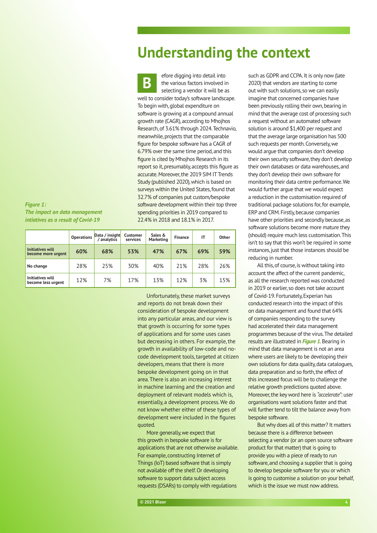## **Understanding the context**

efore digging into detail into the various factors involved in selecting a vendor it will be as well to consider today's software landscape. To begin with, global expenditure on software is growing at a compound annual growth rate (CAGR), according to Mhojhos Research, of 3.61% through 2024. Technavio, meanwhile, projects that the comparable figure for bespoke software has a CAGR of 6.79% over the same time period, and this figure is cited by Mhojhos Research in its report so it, presumably, accepts this figure as accurate. Moreover, the 2019 SIM IT Trends Study (published 2020), which is based on surveys within the United States, found that 32.7% of companies put custom/bespoke software development within their top three spending priorities in 2019 compared to 22.4% in 2018 and 18.1% in 2017. **B**

| <b>Figure 1:</b>                   |
|------------------------------------|
| The impact on data management      |
| intiatives as a result of Covid-19 |

|                                               | <b>Operations</b> | Data / insight<br>/ analytics | Customer<br>services | Sales &<br><b>Marketing</b> | <b>Finance</b> | IT  | Other |
|-----------------------------------------------|-------------------|-------------------------------|----------------------|-----------------------------|----------------|-----|-------|
| <b>Initiatives will</b><br>become more urgent | 60%               | 68%                           | 53%                  | 47%                         | 67%            | 69% | 59%   |
| No change                                     | 28%               | 25%                           | 30%                  | 40%                         | 21%            | 28% | 26%   |
| <b>Initiatives will</b><br>become less urgent | 12%               | 7%                            | 17%                  | 13%                         | 12%            | 3%  | 15%   |

Unfortunately, these market surveys and reports do not break down their consideration of bespoke development into any particular areas, and our view is that growth is occurring for some types of applications and for some uses cases but decreasing in others. For example, the growth in availability of low-code and nocode development tools, targeted at citizen developers, means that there is more bespoke development going on in that area. There is also an increasing interest in machine learning and the creation and deployment of relevant models which is, essentially, a development process. We do not know whether either of these types of development were included in the figures quoted.

More generally, we expect that this growth in bespoke software is for applications that are not otherwise available. For example, constructing Internet of Things (IoT) based software that is simply not available off the shelf. Or developing software to support data subject access requests (DSARs) to comply with regulations

such as GDPR and CCPA. It is only now (late 2020) that vendors are starting to come out with such solutions, so we can easily imagine that concerned companies have been previously rolling their own, bearing in mind that the average cost of processing such a request without an automated software solution is around \$1,400 per request and that the average large organisation has 500 such requests per month. Conversely, we would argue that companies don't develop their own security software, they don't develop their own databases or data warehouses, and they don't develop their own software for monitoring their data centre performance. We would further argue that we would expect a reduction in the customisation required of traditional package solutions for, for example, ERP and CRM. Firstly, because companies have other priorities and secondly because, as software solutions become more mature they (should) require much less customisation. This isn't to say that this won't be required in some instances, just that those instances should be reducing in number.

All this, of course, is without taking into account the affect of the current pandemic, as all the research reported was conducted in 2019 or earlier, so does not take account of Covid-19. Fortunately, Experian has conducted research into the impact of this on data management and found that 64% of companies responding to the survey had accelerated their data management programmes because of the virus. The detailed results are illustrated in *Figure 1*. Bearing in mind that data management is not an area where users are likely to be developing their own solutions for data quality, data catalogues, data preparation and so forth, the effect of this increased focus will be to challenge the relative growth predictions quoted above. Moreover, the key word here is *"accelerate"*: user organisations want solutions faster and that will further tend to tilt the balance away from bespoke software.

But why does all of this matter? It matters because there is a difference between selecting a vendor (or an open source software product for that matter) that is going to provide you with a piece of ready to run software, and choosing a supplier that is going to develop bespoke software for you or which is going to customise a solution on your behalf, which is the issue we must now address.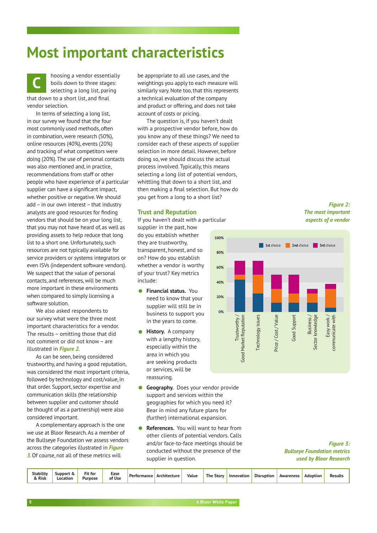## **Most important characteristics**

hoosing a vendor essentially boils down to three stages: selecting a long list, paring that down to a short list, and final vendor selection. **C**

In terms of selecting a long list, in our survey we found that the four most commonly used methods, often in combination, were research (50%), online resources (40%), events (20%) and tracking of what competitors were doing (20%). The use of personal contacts was also mentioned and, in practice, recommendations from staff or other people who have experience of a particular supplier can have a significant impact, whether positive or negative. We should add – in our own interest – that industry analysts are good resources for finding vendors that should be on your long list, that you may not have heard of, as well as providing assets to help reduce that long list to a short one. Unfortunately, such resources are not typically available for service providers or systems integrators or even ISVs (independent software vendors). We suspect that the value of personal contacts, and references, will be much more important in these environments when compared to simply licensing a software solution.

We also asked respondents to our survey what were the three most important characteristics for a vendor. The results – omitting those that did not comment or did not know – are illustrated in *Figure 2*.

As can be seen, being considered trustworthy, and having a good reputation, was considered the most important criteria, followed by technology and cost/value, in that order. Support, sector expertise and communication skills (the relationship between supplier and customer should be thought of as a partnership) were also considered important.

A complementary approach is the one we use at Bloor Research. As a member of the Bullseye Foundation we assess vendors across the categories illustrated in *Figure 3*. Of course, not all of these metrics will

be appropriate to all use cases, and the weightings you apply to each measure will similarly vary. Note too, that this represents a technical evaluation of the company and product or offering, and does not take account of costs or pricing.

The question is, if you haven't dealt with a prospective vendor before, how do you know any of these things? We need to consider each of these aspects of supplier selection in more detail. However, before doing so, we should discuss the actual process involved. Typically, this means selecting a long list of potential vendors, whittling that down to a short list, and then making a final selection. But how do you get from a long to a short list?

#### **Trust and Reputation**

If you haven't dealt with a particular supplier in the past, how do you establish whether they are trustworthy, transparent, honest, and so on? How do you establish whether a vendor is worthy of your trust? Key metrics include:

- **Financial status.** You need to know that your supplier will still be in business to support you in the years to come.
- **History.** A company with a lengthy history, especially within the area in which you are seeking products or services, will be reassuring.
- **Geography.** Does your vendor provide support and services within the geographies for which you need it? Bear in mind any future plans for (further) international expansion.
- **References.** You will want to hear from other clients of potential vendors. Calls and/or face-to-face meetings should be conducted without the presence of the supplier in question.

*Figure 2: The most important aspects of a vendor*



*Figure 3: Bullseye Foundation metrics used by Bloor Research*

| <br>Ease<br>: toı<br>stabilit<br>$\sim$<br>$\sim$<br>The<br>Do:<br>Valu<br><b>Disruptior</b><br>Ston<br>Innovation<br>arenes.<br>Adoption<br>AM'<br>& Risk<br>of Use<br>Purpose<br>ocation<br>.<br>__ |  | `esuh. |  |  |  |  |  |  |  |  |  |  |  |
|-------------------------------------------------------------------------------------------------------------------------------------------------------------------------------------------------------|--|--------|--|--|--|--|--|--|--|--|--|--|--|
|-------------------------------------------------------------------------------------------------------------------------------------------------------------------------------------------------------|--|--------|--|--|--|--|--|--|--|--|--|--|--|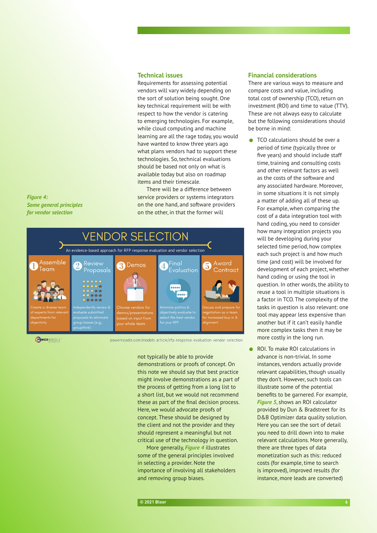#### **Technical issues**

Requirements for assessing potential vendors will vary widely depending on the sort of solution being sought. One key technical requirement will be with respect to how the vendor is catering to emerging technologies. For example, while cloud computing and machine learning are all the rage today, you would have wanted to know three years ago what plans vendors had to support these technologies. So, technical evaluations should be based not only on what is available today but also on roadmap items and their timescale.

There will be a difference between service providers or systems integrators on the one hand, and software providers on the other, in that the former will



POWERNOODLE

*Figure 4:*

*Some general principles for vendor selection*

powernoodle.com/models-article/rfp-response-evaluation-vendor-selection

not typically be able to provide demonstrations or proofs of concept. On this note we should say that best practice might involve demonstrations as a part of the process of getting from a long list to a short list, but we would not recommend these as part of the final decision process. Here, we would advocate proofs of concept. These should be designed by the client and not the provider and they should represent a meaningful but not critical use of the technology in question.

More generally, *Figure 4* illustrates some of the general principles involved in selecting a provider. Note the importance of involving all stakeholders and removing group biases.

#### **Financial considerations**

There are various ways to measure and compare costs and value, including total cost of ownership (TCO), return on investment (ROI) and time to value (TTV). These are not always easy to calculate but the following considerations should be borne in mind:

- TCO calculations should be over a period of time (typically three or five years) and should include staff time, training and consulting costs and other relevant factors as well as the costs of the software and any associated hardware. Moreover, in some situations it is not simply a matter of adding all of these up. For example, when comparing the cost of a data integration tool with hand coding, you need to consider how many integration projects you will be developing during your selected time period, how complex each such project is and how much time (and cost) will be involved for development of each project, whether hand coding or using the tool in question. In other words, the ability to reuse a tool in multiple situations is a factor in TCO. The complexity of the tasks in question is also relevant: one tool may appear less expensive than another but if it can't easily handle more complex tasks then it may be more costly in the long run.
- ROI. To make ROI calculations in advance is non-trivial. In some instances, vendors actually provide relevant capabilities, though usually they don't. However, such tools can illustrate some of the potential benefits to be garnered. For example, *Figure 5*, shows an ROI calculator provided by Dun & Bradstreet for its D&B Optimizer data quality solution. Here you can see the sort of detail you need to drill down into to make relevant calculations. More generally, there are three types of data monetization such as this: reduced costs (for example, time to search is improved), improved results (for instance, more leads are converted)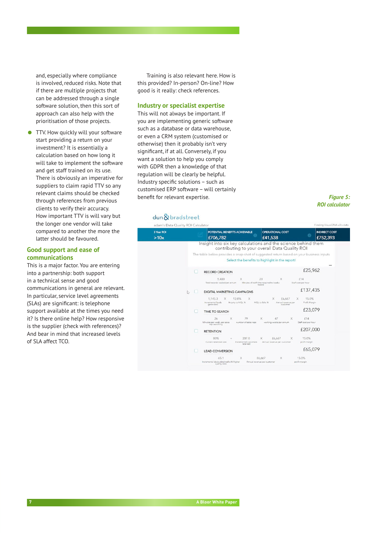and, especially where compliance is involved, reduced risks. Note that if there are multiple projects that can be addressed through a single software solution, then this sort of approach can also help with the prioritisation of those projects.

**• TTV.** How quickly will your software start providing a return on your investment? It is essentially a calculation based on how long it will take to implement the software and get staff trained on its use. There is obviously an imperative for suppliers to claim rapid TTV so any relevant claims should be checked through references from previous clients to verify their accuracy. How important TTV is will vary but the longer one vendor will take compared to another the more the latter should be favoured.

#### **Good support and ease of communications**

This is a major factor. You are entering into a partnership: both support in a technical sense and good communications in general are relevant. In particular, service level agreements (SLAs) are significant: is telephone support available at the times you need it? Is there online help? How responsive is the supplier (check with references)? And bear in mind that increased levels of SLA affect TCO.

Training is also relevant here. How is this provided? In-person? On-line? How good is it really: check references.

#### **Industry or specialist expertise**

This will not always be important. If you are implementing generic software such as a database or data warehouse, or even a CRM system (customised or otherwise) then it probably isn't very significant, if at all. Conversely, if you want a solution to help you comply with GDPR then a knowledge of that regulation will be clearly be helpful. Industry specific solutions – such as customised ERP software – will certainly benefit for relevant expertise. *Figure 5:*

### *ROI calculator*

#### dun&bradstreet

| 3 Year ROI<br>>10x | POTENTIAL BENEFITS ACHIEVABLE<br>£706,782                                              | <b>OPERATIONAL COST</b><br>£41,538                                                          | <b>INDIRECT COST</b><br>£752,393 |
|--------------------|----------------------------------------------------------------------------------------|---------------------------------------------------------------------------------------------|----------------------------------|
|                    | Insight into six key calculations and the science behind them                          | contributing to your overall Data Quality ROI                                               |                                  |
|                    | The table below provides a snap-shot of suggested return based on your business inputs |                                                                                             |                                  |
|                    |                                                                                        | Select the benefits to highlight in the report!                                             |                                  |
|                    |                                                                                        |                                                                                             |                                  |
|                    | <b>RECORD CREATION</b>                                                                 |                                                                                             | £25,962                          |
|                    | X<br>5,400<br>Total records loaded per annum                                           | 20<br>X<br>£14<br>Minutes of staff time required to load a<br>Staff cost per hour<br>record |                                  |
|                    | DIGITAL MARKETING CAMPAIGNS<br>$\mathbb{Q}$                                            |                                                                                             | £137,435                         |
|                    | $\times$<br>1.145.3<br>X<br>12.0%<br>Incremental leads<br>Inquiry to MQL%<br>generated | £6,667<br>x<br>X<br>MQL to Sale %<br>Annual revenue per<br>customer                         | 15.0%<br>Profit Margin           |
|                    | <b>TIME TO SEARCH</b>                                                                  |                                                                                             | £23,079                          |
|                    | $\times$<br>79<br>26                                                                   | 47<br>X<br>$\times$                                                                         | £14                              |
|                    | number of sales reps<br>Minutes per week, per sales<br>rep searching                   | working weeks per annum                                                                     | Staff cost per hour              |
|                    | <b>RETENTION</b>                                                                       |                                                                                             | £207,000                         |
|                    | 80%<br>207.0<br>÷                                                                      | ×<br>£6.667<br>X                                                                            | 15.0%                            |
|                    | Current retention rate<br>Incremental customers<br>retained                            | Annual revenue per customer                                                                 | profit margin                    |
|                    | <b>LEAD CONVERSION</b>                                                                 |                                                                                             | £65,079                          |
|                    | 65.1<br>$\times$                                                                       | X<br>15.0%<br>£6,667                                                                        |                                  |
|                    | Incremental deals obtained with higher<br>quality data                                 | profit margin<br>Annual revenue per customer                                                |                                  |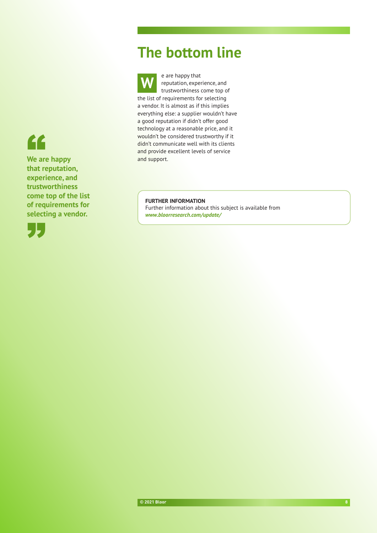## **The bottom line**

e are happy that reputation, experience, and trustworthiness come top of the list of requirements for selecting a vendor. It is almost as if this implies everything else: a supplier wouldn't have a good reputation if didn't offer good technology at a reasonable price, and it wouldn't be considered trustworthy if it didn't communicate well with its clients and provide excellent levels of service and support. **W**

#### **FURTHER INFORMATION**

Further information about this subject is available from *<www.bloorresearch.com/update/>*



**We are happy that reputation, experience, and trustworthiness come top of the list of requirements for selecting a vendor.** 

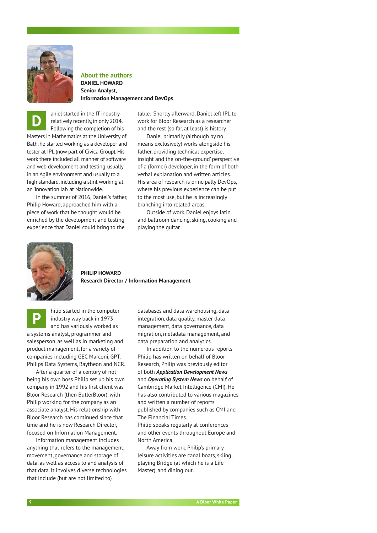

#### **About the authors DANIEL HOWARD Senior Analyst, Information Management and DevOps**

aniel started in the IT industry relatively recently, in only 2014. Following the completion of his Masters in Mathematics at the University of Bath, he started working as a developer and tester at IPL (now part of Civica Group). His work there included all manner of software and web development and testing, usually in an Agile environment and usually to a high standard, including a stint working at an 'innovation lab' at Nationwide. **D**

In the summer of 2016, Daniel's father, Philip Howard, approached him with a piece of work that he thought would be enriched by the development and testing experience that Daniel could bring to the

table. Shortly afterward, Daniel left IPL to work for Bloor Research as a researcher and the rest (so far, at least) is history.

Daniel primarily (although by no means exclusively) works alongside his father, providing technical expertise, insight and the 'on-the-ground' perspective of a (former) developer, in the form of both verbal explanation and written articles. His area of research is principally DevOps, where his previous experience can be put to the most use, but he is increasingly branching into related areas.

Outside of work, Daniel enjoys latin and ballroom dancing, skiing, cooking and playing the guitar.



**PHILIP HOWARD Research Director / Information Management**

hilip started in the computer industry way back in 1973 and has variously worked as a systems analyst, programmer and salesperson, as well as in marketing and product management, for a variety of companies including GEC Marconi, GPT, Philips Data Systems, Raytheon and NCR. **P**

After a quarter of a century of not being his own boss Philip set up his own company in 1992 and his first client was Bloor Research (then ButlerBloor), with Philip working for the company as an associate analyst. His relationship with Bloor Research has continued since that time and he is now Research Director, focused on Information Management.

Information management includes anything that refers to the management, movement, governance and storage of data, as well as access to and analysis of that data. It involves diverse technologies that include (but are not limited to)

databases and data warehousing, data integration, data quality, master data management, data governance, data migration, metadata management, and data preparation and analytics.

In addition to the numerous reports Philip has written on behalf of Bloor Research, Philip was previously editor of both *Application Development News* and *Operating System News* on behalf of Cambridge Market Intelligence (CMI). He has also contributed to various magazines and written a number of reports published by companies such as CMI and The Financial Times. Philip speaks regularly at conferences and other events throughout Europe and North America.

Away from work, Philip's primary leisure activities are canal boats, skiing, playing Bridge (at which he is a Life Master), and dining out.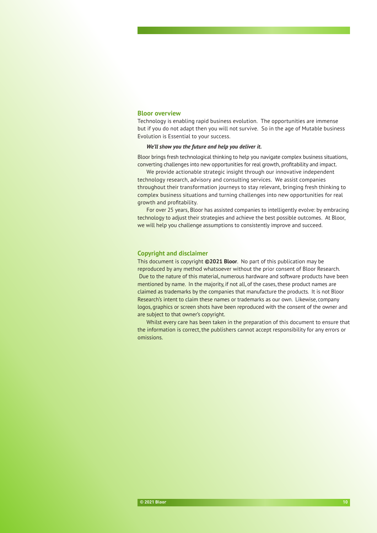#### **Bloor overview**

Technology is enabling rapid business evolution. The opportunities are immense but if you do not adapt then you will not survive. So in the age of Mutable business Evolution is Essential to your success.

#### *We'll show you the future and help you deliver it.*

Bloor brings fresh technological thinking to help you navigate complex business situations, converting challenges into new opportunities for real growth, profitability and impact.

We provide actionable strategic insight through our innovative independent technology research, advisory and consulting services. We assist companies throughout their transformation journeys to stay relevant, bringing fresh thinking to complex business situations and turning challenges into new opportunities for real growth and profitability.

For over 25 years, Bloor has assisted companies to intelligently evolve: by embracing technology to adjust their strategies and achieve the best possible outcomes. At Bloor, we will help you challenge assumptions to consistently improve and succeed.

#### **Copyright and disclaimer**

This document is copyright **©2021 Bloor**. No part of this publication may be reproduced by any method whatsoever without the prior consent of Bloor Research. Due to the nature of this material, numerous hardware and software products have been mentioned by name. In the majority, if not all, of the cases, these product names are claimed as trademarks by the companies that manufacture the products. It is not Bloor Research's intent to claim these names or trademarks as our own. Likewise, company logos, graphics or screen shots have been reproduced with the consent of the owner and are subject to that owner's copyright.

Whilst every care has been taken in the preparation of this document to ensure that the information is correct, the publishers cannot accept responsibility for any errors or omissions.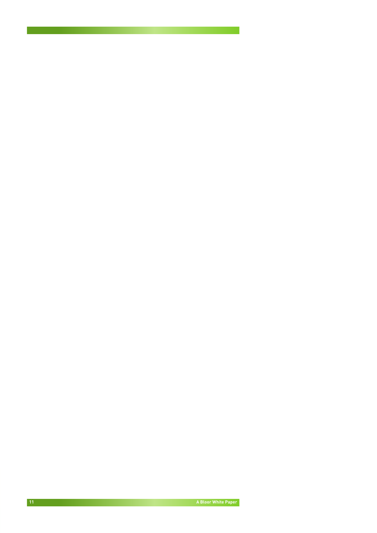#### A Bloor White Paper